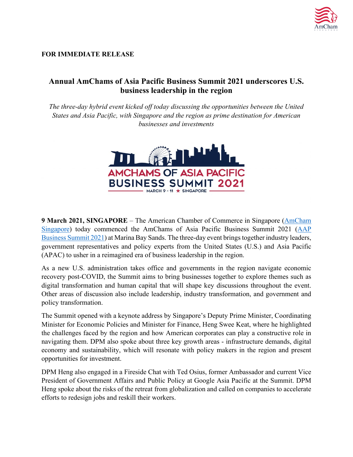

## **FOR IMMEDIATE RELEASE**

# **Annual AmChams of Asia Pacific Business Summit 2021 underscores U.S. business leadership in the region**

*The three-day hybrid event kicked off today discussing the opportunities between the United States and Asia Pacific, with Singapore and the region as prime destination for American businesses and investments*



**9 March 2021, SINGAPORE** – The American Chamber of Commerce in Singapore [\(AmCham](https://amcham.com.sg/)  [Singapore\)](https://amcham.com.sg/) today commenced the AmChams of Asia Pacific Business Summit 2021 [\(AAP](https://www.aapsummit2021.com/event/108) Business [Summit 2021\)](https://www.aapsummit2021.com/event/108) at Marina Bay Sands. The three-day event brings together industry leaders, government representatives and policy experts from the United States (U.S.) and Asia Pacific (APAC) to usher in a reimagined era of business leadership in the region.

As a new U.S. administration takes office and governments in the region navigate economic recovery post-COVID, the Summit aims to bring businesses together to explore themes such as digital transformation and human capital that will shape key discussions throughout the event. Other areas of discussion also include leadership, industry transformation, and government and policy transformation.

The Summit opened with a keynote address by Singapore's Deputy Prime Minister, Coordinating Minister for Economic Policies and Minister for Finance, Heng Swee Keat, where he highlighted the challenges faced by the region and how American corporates can play a constructive role in navigating them. DPM also spoke about three key growth areas - infrastructure demands, digital economy and sustainability, which will resonate with policy makers in the region and present opportunities for investment.

DPM Heng also engaged in a Fireside Chat with Ted Osius, former Ambassador and current Vice President of Government Affairs and Public Policy at Google Asia Pacific at the Summit. DPM Heng spoke about the risks of the retreat from globalization and called on companies to accelerate efforts to redesign jobs and reskill their workers.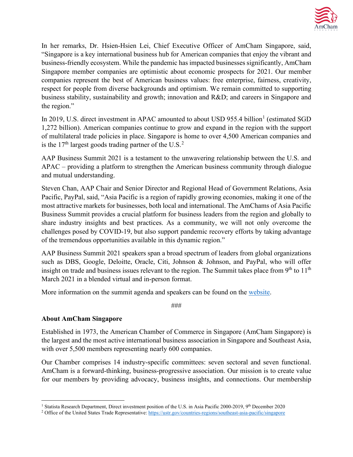

In her remarks, Dr. Hsien-Hsien Lei, Chief Executive Officer of AmCham Singapore, said, "Singapore is a key international business hub for American companies that enjoy the vibrant and business-friendly ecosystem. While the pandemic has impacted businesses significantly, AmCham Singapore member companies are optimistic about economic prospects for 2021. Our member companies represent the best of American business values: free enterprise, fairness, creativity, respect for people from diverse backgrounds and optimism. We remain committed to supporting business stability, sustainability and growth; innovation and R&D; and careers in Singapore and the region."

In 20[1](#page-1-0)9, U.S. direct investment in APAC amounted to about USD 955.4 billion<sup>1</sup> (estimated SGD) 1,272 billion). American companies continue to grow and expand in the region with the support of multilateral trade policies in place. Singapore is home to over 4,500 American companies and is the  $17<sup>th</sup>$  largest goods trading partner of the U.S.<sup>[2](#page-1-1)</sup>

AAP Business Summit 2021 is a testament to the unwavering relationship between the U.S. and APAC – providing a platform to strengthen the American business community through dialogue and mutual understanding.

Steven Chan, AAP Chair and Senior Director and Regional Head of Government Relations, Asia Pacific, PayPal, said, "Asia Pacific is a region of rapidly growing economies, making it one of the most attractive markets for businesses, both local and international. The AmChams of Asia Pacific Business Summit provides a crucial platform for business leaders from the region and globally to share industry insights and best practices. As a community, we will not only overcome the challenges posed by COVID-19, but also support pandemic recovery efforts by taking advantage of the tremendous opportunities available in this dynamic region."

AAP Business Summit 2021 speakers span a broad spectrum of leaders from global organizations such as DBS, Google, Deloitte, Oracle, Citi, Johnson & Johnson, and PayPal, who will offer insight on trade and business issues relevant to the region. The Summit takes place from  $9<sup>th</sup>$  to  $11<sup>th</sup>$ March 2021 in a blended virtual and in-person format.

More information on the summit agenda and speakers can be found on the [website.](https://www.aapsummit2021.com/event/108)

###

### **About AmCham Singapore**

Established in 1973, the American Chamber of Commerce in Singapore (AmCham Singapore) is the largest and the most active international business association in Singapore and Southeast Asia, with over 5,500 members representing nearly 600 companies.

Our Chamber comprises 14 industry-specific committees: seven sectoral and seven functional. AmCham is a forward-thinking, business-progressive association. Our mission is to create value for our members by providing advocacy, business insights, and connections. Our membership

<span id="page-1-0"></span><sup>&</sup>lt;sup>1</sup> Statista Research Department, Direct investment position of the U.S. in Asia Pacific 2000-2019, 9<sup>th</sup> December 2020

<span id="page-1-1"></span><sup>&</sup>lt;sup>2</sup> Office of the United States Trade Representative[: https://ustr.gov/countries-regions/southeast-asia-pacific/singapore](https://ustr.gov/countries-regions/southeast-asia-pacific/singapore)